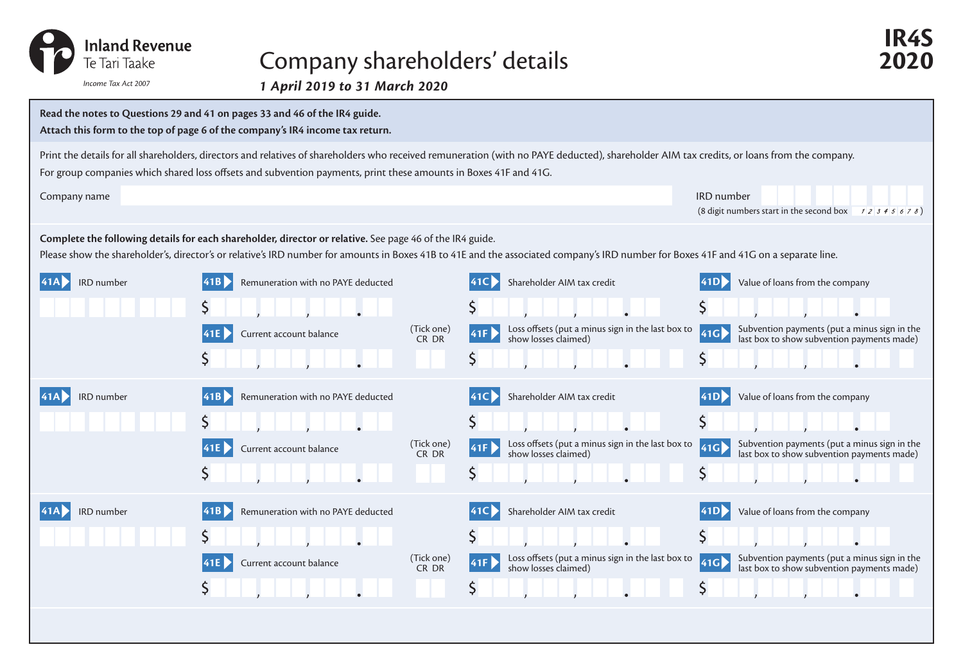

## Company shareholders' details **2020**

*1 April 2019 to 31 March 2020 Income Tax Act 2007*



**IR4S**